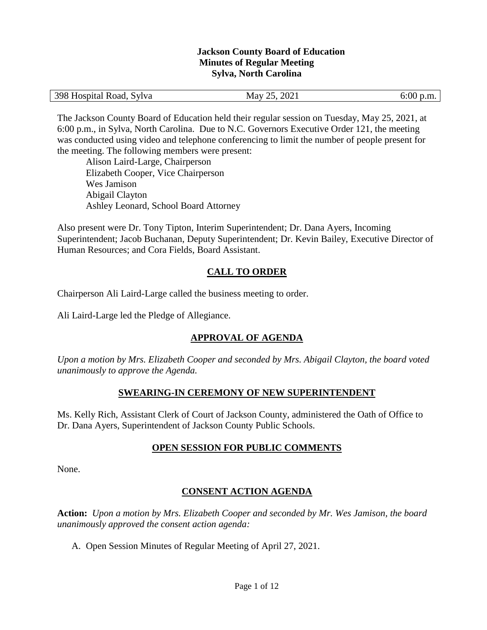#### **Jackson County Board of Education Minutes of Regular Meeting Sylva, North Carolina**

|  | 398 Hospital Road, Sylva | 2021<br>ገሩ<br>May<br>، ب<br>_______ | $6:00$ p.m. |
|--|--------------------------|-------------------------------------|-------------|
|--|--------------------------|-------------------------------------|-------------|

The Jackson County Board of Education held their regular session on Tuesday, May 25, 2021, at 6:00 p.m., in Sylva, North Carolina. Due to N.C. Governors Executive Order 121, the meeting was conducted using video and telephone conferencing to limit the number of people present for the meeting. The following members were present:

Alison Laird-Large, Chairperson Elizabeth Cooper, Vice Chairperson Wes Jamison Abigail Clayton Ashley Leonard, School Board Attorney

Also present were Dr. Tony Tipton, Interim Superintendent; Dr. Dana Ayers, Incoming Superintendent; Jacob Buchanan, Deputy Superintendent; Dr. Kevin Bailey, Executive Director of Human Resources; and Cora Fields, Board Assistant.

# **CALL TO ORDER**

Chairperson Ali Laird-Large called the business meeting to order.

Ali Laird-Large led the Pledge of Allegiance.

# **APPROVAL OF AGENDA**

*Upon a motion by Mrs. Elizabeth Cooper and seconded by Mrs. Abigail Clayton, the board voted unanimously to approve the Agenda.*

## **SWEARING-IN CEREMONY OF NEW SUPERINTENDENT**

Ms. Kelly Rich, Assistant Clerk of Court of Jackson County, administered the Oath of Office to Dr. Dana Ayers, Superintendent of Jackson County Public Schools.

## **OPEN SESSION FOR PUBLIC COMMENTS**

None.

## **CONSENT ACTION AGENDA**

**Action:** *Upon a motion by Mrs. Elizabeth Cooper and seconded by Mr. Wes Jamison, the board unanimously approved the consent action agenda:*

A. Open Session Minutes of Regular Meeting of April 27, 2021.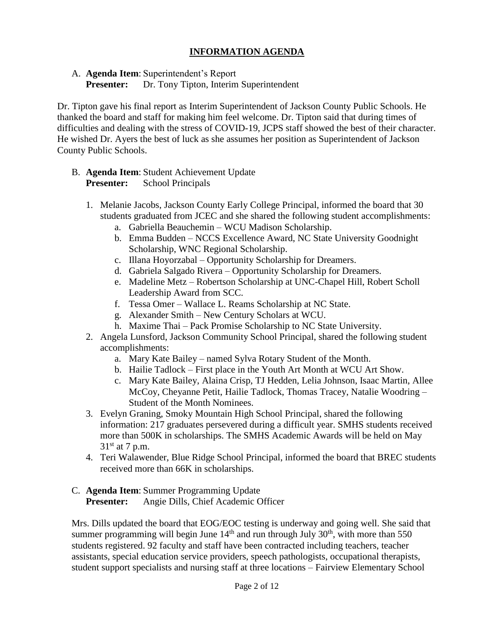## **INFORMATION AGENDA**

A. **Agenda Item**: Superintendent's Report

**Presenter:** Dr. Tony Tipton, Interim Superintendent

Dr. Tipton gave his final report as Interim Superintendent of Jackson County Public Schools. He thanked the board and staff for making him feel welcome. Dr. Tipton said that during times of difficulties and dealing with the stress of COVID-19, JCPS staff showed the best of their character. He wished Dr. Ayers the best of luck as she assumes her position as Superintendent of Jackson County Public Schools.

- B. **Agenda Item**: Student Achievement Update **Presenter:** School Principals
	- 1. Melanie Jacobs, Jackson County Early College Principal, informed the board that 30 students graduated from JCEC and she shared the following student accomplishments:
		- a. Gabriella Beauchemin WCU Madison Scholarship.
		- b. Emma Budden NCCS Excellence Award, NC State University Goodnight Scholarship, WNC Regional Scholarship.
		- c. Illana Hoyorzabal Opportunity Scholarship for Dreamers.
		- d. Gabriela Salgado Rivera Opportunity Scholarship for Dreamers.
		- e. Madeline Metz Robertson Scholarship at UNC-Chapel Hill, Robert Scholl Leadership Award from SCC.
		- f. Tessa Omer Wallace L. Reams Scholarship at NC State.
		- g. Alexander Smith New Century Scholars at WCU.
		- h. Maxime Thai Pack Promise Scholarship to NC State University.
	- 2. Angela Lunsford, Jackson Community School Principal, shared the following student accomplishments:
		- a. Mary Kate Bailey named Sylva Rotary Student of the Month.
		- b. Hailie Tadlock First place in the Youth Art Month at WCU Art Show.
		- c. Mary Kate Bailey, Alaina Crisp, TJ Hedden, Lelia Johnson, Isaac Martin, Allee McCoy, Cheyanne Petit, Hailie Tadlock, Thomas Tracey, Natalie Woodring – Student of the Month Nominees.
	- 3. Evelyn Graning, Smoky Mountain High School Principal, shared the following information: 217 graduates persevered during a difficult year. SMHS students received more than 500K in scholarships. The SMHS Academic Awards will be held on May  $31<sup>st</sup>$  at 7 p.m.
	- 4. Teri Walawender, Blue Ridge School Principal, informed the board that BREC students received more than 66K in scholarships.

## C. **Agenda Item**: Summer Programming Update

**Presenter:** Angie Dills, Chief Academic Officer

Mrs. Dills updated the board that EOG/EOC testing is underway and going well. She said that summer programming will begin June  $14<sup>th</sup>$  and run through July 30<sup>th</sup>, with more than 550 students registered. 92 faculty and staff have been contracted including teachers, teacher assistants, special education service providers, speech pathologists, occupational therapists, student support specialists and nursing staff at three locations – Fairview Elementary School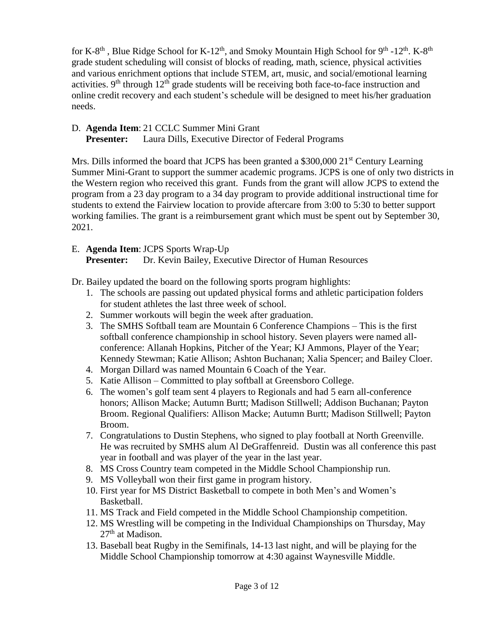for K-8<sup>th</sup>, Blue Ridge School for K-12<sup>th</sup>, and Smoky Mountain High School for 9<sup>th</sup> -12<sup>th</sup>. K-8<sup>th</sup> grade student scheduling will consist of blocks of reading, math, science, physical activities and various enrichment options that include STEM, art, music, and social/emotional learning activities.  $9<sup>th</sup>$  through  $12<sup>th</sup>$  grade students will be receiving both face-to-face instruction and online credit recovery and each student's schedule will be designed to meet his/her graduation needs.

## D. **Agenda Item**: 21 CCLC Summer Mini Grant

**Presenter:** Laura Dills, Executive Director of Federal Programs

Mrs. Dills informed the board that JCPS has been granted a \$300,000 21<sup>st</sup> Century Learning Summer Mini-Grant to support the summer academic programs. JCPS is one of only two districts in the Western region who received this grant. Funds from the grant will allow JCPS to extend the program from a 23 day program to a 34 day program to provide additional instructional time for students to extend the Fairview location to provide aftercare from 3:00 to 5:30 to better support working families. The grant is a reimbursement grant which must be spent out by September 30, 2021.

## E. **Agenda Item**: JCPS Sports Wrap-Up

**Presenter:** Dr. Kevin Bailey, Executive Director of Human Resources

Dr. Bailey updated the board on the following sports program highlights:

- 1. The schools are passing out updated physical forms and athletic participation folders for student athletes the last three week of school.
- 2. Summer workouts will begin the week after graduation.
- 3. The SMHS Softball team are Mountain 6 Conference Champions This is the first softball conference championship in school history. Seven players were named allconference: Allanah Hopkins, Pitcher of the Year; KJ Ammons, Player of the Year; Kennedy Stewman; Katie Allison; Ashton Buchanan; Xalia Spencer; and Bailey Cloer.
- 4. Morgan Dillard was named Mountain 6 Coach of the Year.
- 5. Katie Allison Committed to play softball at Greensboro College.
- 6. The women's golf team sent 4 players to Regionals and had 5 earn all-conference honors; Allison Macke; Autumn Burtt; Madison Stillwell; Addison Buchanan; Payton Broom. Regional Qualifiers: Allison Macke; Autumn Burtt; Madison Stillwell; Payton Broom.
- 7. Congratulations to Dustin Stephens, who signed to play football at North Greenville. He was recruited by SMHS alum Al DeGraffenreid. Dustin was all conference this past year in football and was player of the year in the last year.
- 8. MS Cross Country team competed in the Middle School Championship run.
- 9. MS Volleyball won their first game in program history.
- 10. First year for MS District Basketball to compete in both Men's and Women's Basketball.
- 11. MS Track and Field competed in the Middle School Championship competition.
- 12. MS Wrestling will be competing in the Individual Championships on Thursday, May  $27<sup>th</sup>$  at Madison.
- 13. Baseball beat Rugby in the Semifinals, 14-13 last night, and will be playing for the Middle School Championship tomorrow at 4:30 against Waynesville Middle.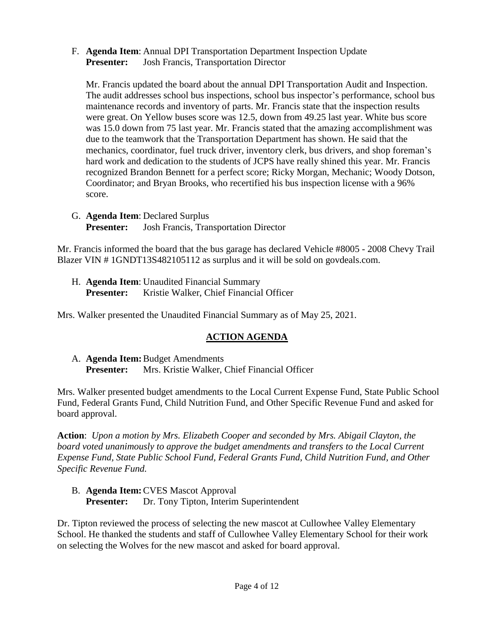F. **Agenda Item**: Annual DPI Transportation Department Inspection Update **Presenter:** Josh Francis, Transportation Director

Mr. Francis updated the board about the annual DPI Transportation Audit and Inspection. The audit addresses school bus inspections, school bus inspector's performance, school bus maintenance records and inventory of parts. Mr. Francis state that the inspection results were great. On Yellow buses score was 12.5, down from 49.25 last year. White bus score was 15.0 down from 75 last year. Mr. Francis stated that the amazing accomplishment was due to the teamwork that the Transportation Department has shown. He said that the mechanics, coordinator, fuel truck driver, inventory clerk, bus drivers, and shop foreman's hard work and dedication to the students of JCPS have really shined this year. Mr. Francis recognized Brandon Bennett for a perfect score; Ricky Morgan, Mechanic; Woody Dotson, Coordinator; and Bryan Brooks, who recertified his bus inspection license with a 96% score.

G. **Agenda Item**: Declared Surplus **Presenter:** Josh Francis, Transportation Director

Mr. Francis informed the board that the bus garage has declared Vehicle #8005 - 2008 Chevy Trail Blazer VIN # 1GNDT13S482105112 as surplus and it will be sold on govdeals.com.

H. **Agenda Item**: Unaudited Financial Summary Presenter: Kristie Walker, Chief Financial Officer

Mrs. Walker presented the Unaudited Financial Summary as of May 25, 2021.

## **ACTION AGENDA**

A. **Agenda Item:**Budget Amendments **Presenter:** Mrs. Kristie Walker, Chief Financial Officer

Mrs. Walker presented budget amendments to the Local Current Expense Fund, State Public School Fund, Federal Grants Fund, Child Nutrition Fund, and Other Specific Revenue Fund and asked for board approval.

**Action**: *Upon a motion by Mrs. Elizabeth Cooper and seconded by Mrs. Abigail Clayton, the board voted unanimously to approve the budget amendments and transfers to the Local Current Expense Fund, State Public School Fund, Federal Grants Fund, Child Nutrition Fund, and Other Specific Revenue Fund.*

B. **Agenda Item:**CVES Mascot Approval **Presenter:** Dr. Tony Tipton, Interim Superintendent

Dr. Tipton reviewed the process of selecting the new mascot at Cullowhee Valley Elementary School. He thanked the students and staff of Cullowhee Valley Elementary School for their work on selecting the Wolves for the new mascot and asked for board approval.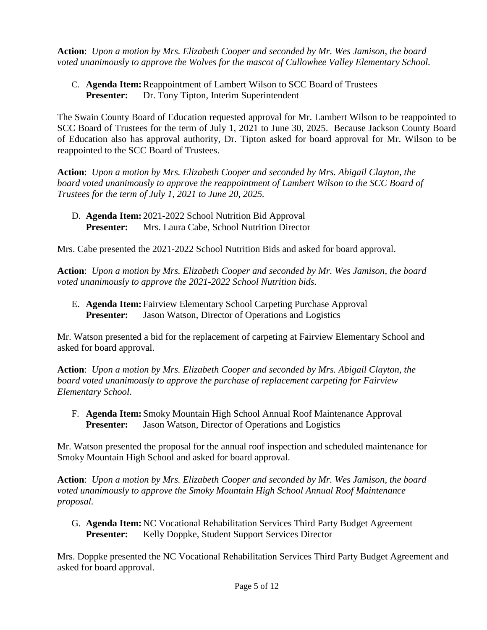**Action**: *Upon a motion by Mrs. Elizabeth Cooper and seconded by Mr. Wes Jamison, the board voted unanimously to approve the Wolves for the mascot of Cullowhee Valley Elementary School.*

C. **Agenda Item:**Reappointment of Lambert Wilson to SCC Board of Trustees Presenter: Dr. Tony Tipton, Interim Superintendent

The Swain County Board of Education requested approval for Mr. Lambert Wilson to be reappointed to SCC Board of Trustees for the term of July 1, 2021 to June 30, 2025. Because Jackson County Board of Education also has approval authority, Dr. Tipton asked for board approval for Mr. Wilson to be reappointed to the SCC Board of Trustees.

**Action**: *Upon a motion by Mrs. Elizabeth Cooper and seconded by Mrs. Abigail Clayton, the board voted unanimously to approve the reappointment of Lambert Wilson to the SCC Board of Trustees for the term of July 1, 2021 to June 20, 2025.*

D. **Agenda Item:** 2021-2022 School Nutrition Bid Approval **Presenter:** Mrs. Laura Cabe, School Nutrition Director

Mrs. Cabe presented the 2021-2022 School Nutrition Bids and asked for board approval.

**Action**: *Upon a motion by Mrs. Elizabeth Cooper and seconded by Mr. Wes Jamison, the board voted unanimously to approve the 2021-2022 School Nutrition bids.*

E. **Agenda Item:** Fairview Elementary School Carpeting Purchase Approval **Presenter:** Jason Watson, Director of Operations and Logistics

Mr. Watson presented a bid for the replacement of carpeting at Fairview Elementary School and asked for board approval.

**Action**: *Upon a motion by Mrs. Elizabeth Cooper and seconded by Mrs. Abigail Clayton, the board voted unanimously to approve the purchase of replacement carpeting for Fairview Elementary School.*

F. **Agenda Item:** Smoky Mountain High School Annual Roof Maintenance Approval **Presenter:** Jason Watson, Director of Operations and Logistics

Mr. Watson presented the proposal for the annual roof inspection and scheduled maintenance for Smoky Mountain High School and asked for board approval.

**Action**: *Upon a motion by Mrs. Elizabeth Cooper and seconded by Mr. Wes Jamison, the board voted unanimously to approve the Smoky Mountain High School Annual Roof Maintenance proposal.*

G. **Agenda Item:** NC Vocational Rehabilitation Services Third Party Budget Agreement **Presenter:** Kelly Doppke, Student Support Services Director

Mrs. Doppke presented the NC Vocational Rehabilitation Services Third Party Budget Agreement and asked for board approval.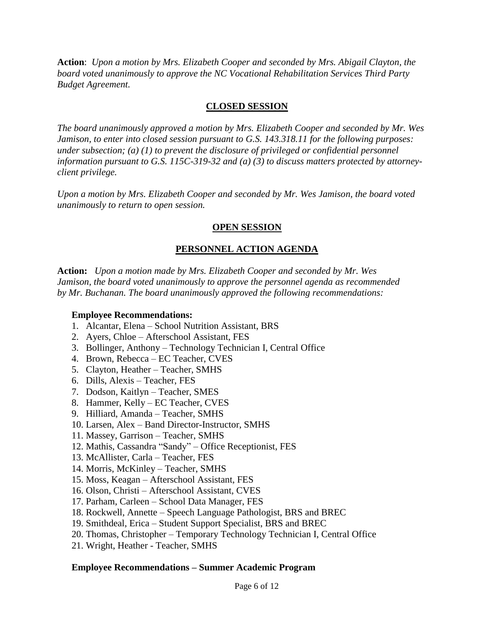**Action**: *Upon a motion by Mrs. Elizabeth Cooper and seconded by Mrs. Abigail Clayton, the board voted unanimously to approve the NC Vocational Rehabilitation Services Third Party Budget Agreement.*

## **CLOSED SESSION**

*The board unanimously approved a motion by Mrs. Elizabeth Cooper and seconded by Mr. Wes Jamison, to enter into closed session pursuant to G.S. 143.318.11 for the following purposes: under subsection; (a) (1) to prevent the disclosure of privileged or confidential personnel information pursuant to G.S. 115C-319-32 and (a) (3) to discuss matters protected by attorneyclient privilege.* 

*Upon a motion by Mrs. Elizabeth Cooper and seconded by Mr. Wes Jamison, the board voted unanimously to return to open session.*

## **OPEN SESSION**

## **PERSONNEL ACTION AGENDA**

**Action:** *Upon a motion made by Mrs. Elizabeth Cooper and seconded by Mr. Wes Jamison, the board voted unanimously to approve the personnel agenda as recommended by Mr. Buchanan. The board unanimously approved the following recommendations:*

#### **Employee Recommendations:**

- 1. Alcantar, Elena School Nutrition Assistant, BRS
- 2. Ayers, Chloe Afterschool Assistant, FES
- 3. Bollinger, Anthony Technology Technician I, Central Office
- 4. Brown, Rebecca EC Teacher, CVES
- 5. Clayton, Heather Teacher, SMHS
- 6. Dills, Alexis Teacher, FES
- 7. Dodson, Kaitlyn Teacher, SMES
- 8. Hammer, Kelly EC Teacher, CVES
- 9. Hilliard, Amanda Teacher, SMHS
- 10. Larsen, Alex Band Director-Instructor, SMHS
- 11. Massey, Garrison Teacher, SMHS
- 12. Mathis, Cassandra "Sandy" Office Receptionist, FES
- 13. McAllister, Carla Teacher, FES
- 14. Morris, McKinley Teacher, SMHS
- 15. Moss, Keagan Afterschool Assistant, FES
- 16. Olson, Christi Afterschool Assistant, CVES
- 17. Parham, Carleen School Data Manager, FES
- 18. Rockwell, Annette Speech Language Pathologist, BRS and BREC
- 19. Smithdeal, Erica Student Support Specialist, BRS and BREC
- 20. Thomas, Christopher Temporary Technology Technician I, Central Office
- 21. Wright, Heather Teacher, SMHS

#### **Employee Recommendations – Summer Academic Program**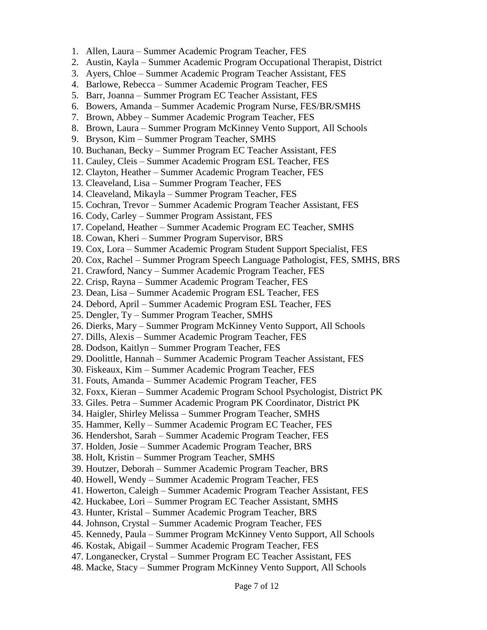- 1. Allen, Laura Summer Academic Program Teacher, FES
- 2. Austin, Kayla Summer Academic Program Occupational Therapist, District
- 3. Ayers, Chloe Summer Academic Program Teacher Assistant, FES
- 4. Barlowe, Rebecca Summer Academic Program Teacher, FES
- 5. Barr, Joanna Summer Program EC Teacher Assistant, FES
- 6. Bowers, Amanda Summer Academic Program Nurse, FES/BR/SMHS
- 7. Brown, Abbey Summer Academic Program Teacher, FES
- 8. Brown, Laura Summer Program McKinney Vento Support, All Schools
- 9. Bryson, Kim Summer Program Teacher, SMHS
- 10. Buchanan, Becky Summer Program EC Teacher Assistant, FES
- 11. Cauley, Cleis Summer Academic Program ESL Teacher, FES
- 12. Clayton, Heather Summer Academic Program Teacher, FES
- 13. Cleaveland, Lisa Summer Program Teacher, FES
- 14. Cleaveland, Mikayla Summer Program Teacher, FES
- 15. Cochran, Trevor Summer Academic Program Teacher Assistant, FES
- 16. Cody, Carley Summer Program Assistant, FES
- 17. Copeland, Heather Summer Academic Program EC Teacher, SMHS
- 18. Cowan, Kheri Summer Program Supervisor, BRS
- 19. Cox, Lora Summer Academic Program Student Support Specialist, FES
- 20. Cox, Rachel Summer Program Speech Language Pathologist, FES, SMHS, BRS
- 21. Crawford, Nancy Summer Academic Program Teacher, FES
- 22. Crisp, Rayna Summer Academic Program Teacher, FES
- 23. Dean, Lisa Summer Academic Program ESL Teacher, FES
- 24. Debord, April Summer Academic Program ESL Teacher, FES
- 25. Dengler, Ty Summer Program Teacher, SMHS
- 26. Dierks, Mary Summer Program McKinney Vento Support, All Schools
- 27. Dills, Alexis Summer Academic Program Teacher, FES
- 28. Dodson, Kaitlyn Summer Program Teacher, FES
- 29. Doolittle, Hannah Summer Academic Program Teacher Assistant, FES
- 30. Fiskeaux, Kim Summer Academic Program Teacher, FES
- 31. Fouts, Amanda Summer Academic Program Teacher, FES
- 32. Foxx, Kieran Summer Academic Program School Psychologist, District PK
- 33. Giles. Petra Summer Academic Program PK Coordinator, District PK
- 34. Haigler, Shirley Melissa Summer Program Teacher, SMHS
- 35. Hammer, Kelly Summer Academic Program EC Teacher, FES
- 36. Hendershot, Sarah Summer Academic Program Teacher, FES
- 37. Holden, Josie Summer Academic Program Teacher, BRS
- 38. Holt, Kristin Summer Program Teacher, SMHS
- 39. Houtzer, Deborah Summer Academic Program Teacher, BRS
- 40. Howell, Wendy Summer Academic Program Teacher, FES
- 41. Howerton, Caleigh Summer Academic Program Teacher Assistant, FES
- 42. Huckabee, Lori Summer Program EC Teacher Assistant, SMHS
- 43. Hunter, Kristal Summer Academic Program Teacher, BRS
- 44. Johnson, Crystal Summer Academic Program Teacher, FES
- 45. Kennedy, Paula Summer Program McKinney Vento Support, All Schools
- 46. Kostak, Abigail Summer Academic Program Teacher, FES
- 47. Longanecker, Crystal Summer Program EC Teacher Assistant, FES
- 48. Macke, Stacy Summer Program McKinney Vento Support, All Schools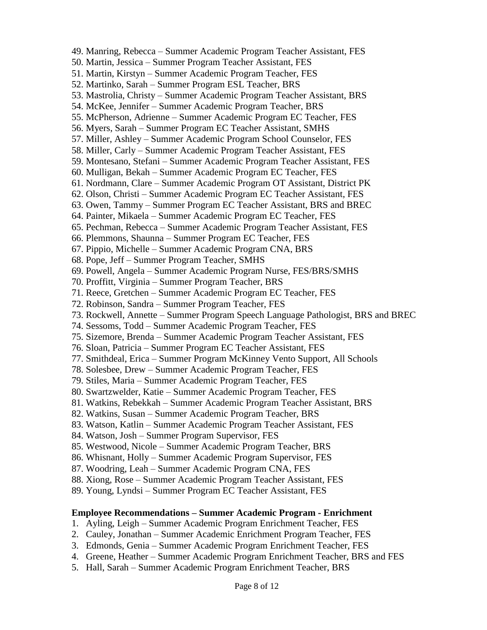49. Manring, Rebecca – Summer Academic Program Teacher Assistant, FES 50. Martin, Jessica – Summer Program Teacher Assistant, FES 51. Martin, Kirstyn – Summer Academic Program Teacher, FES 52. Martinko, Sarah – Summer Program ESL Teacher, BRS 53. Mastrolia, Christy – Summer Academic Program Teacher Assistant, BRS 54. McKee, Jennifer – Summer Academic Program Teacher, BRS 55. McPherson, Adrienne – Summer Academic Program EC Teacher, FES 56. Myers, Sarah – Summer Program EC Teacher Assistant, SMHS 57. Miller, Ashley – Summer Academic Program School Counselor, FES 58. Miller, Carly – Summer Academic Program Teacher Assistant, FES 59. Montesano, Stefani – Summer Academic Program Teacher Assistant, FES 60. Mulligan, Bekah – Summer Academic Program EC Teacher, FES 61. Nordmann, Clare – Summer Academic Program OT Assistant, District PK 62. Olson, Christi – Summer Academic Program EC Teacher Assistant, FES 63. Owen, Tammy – Summer Program EC Teacher Assistant, BRS and BREC 64. Painter, Mikaela – Summer Academic Program EC Teacher, FES 65. Pechman, Rebecca – Summer Academic Program Teacher Assistant, FES 66. Plemmons, Shaunna – Summer Program EC Teacher, FES 67. Pippio, Michelle – Summer Academic Program CNA, BRS 68. Pope, Jeff – Summer Program Teacher, SMHS 69. Powell, Angela – Summer Academic Program Nurse, FES/BRS/SMHS 70. Proffitt, Virginia – Summer Program Teacher, BRS 71. Reece, Gretchen – Summer Academic Program EC Teacher, FES 72. Robinson, Sandra – Summer Program Teacher, FES 73. Rockwell, Annette – Summer Program Speech Language Pathologist, BRS and BREC 74. Sessoms, Todd – Summer Academic Program Teacher, FES 75. Sizemore, Brenda – Summer Academic Program Teacher Assistant, FES 76. Sloan, Patricia – Summer Program EC Teacher Assistant, FES 77. Smithdeal, Erica – Summer Program McKinney Vento Support, All Schools 78. Solesbee, Drew – Summer Academic Program Teacher, FES 79. Stiles, Maria – Summer Academic Program Teacher, FES 80. Swartzwelder, Katie – Summer Academic Program Teacher, FES 81. Watkins, Rebekkah – Summer Academic Program Teacher Assistant, BRS 82. Watkins, Susan – Summer Academic Program Teacher, BRS 83. Watson, Katlin – Summer Academic Program Teacher Assistant, FES 84. Watson, Josh – Summer Program Supervisor, FES 85. Westwood, Nicole – Summer Academic Program Teacher, BRS 86. Whisnant, Holly – Summer Academic Program Supervisor, FES 87. Woodring, Leah – Summer Academic Program CNA, FES 88. Xiong, Rose – Summer Academic Program Teacher Assistant, FES 89. Young, Lyndsi – Summer Program EC Teacher Assistant, FES **Employee Recommendations – Summer Academic Program - Enrichment** 1. Ayling, Leigh – Summer Academic Program Enrichment Teacher, FES 2. Cauley, Jonathan – Summer Academic Enrichment Program Teacher, FES 3. Edmonds, Genia – Summer Academic Program Enrichment Teacher, FES

- 4. Greene, Heather Summer Academic Program Enrichment Teacher, BRS and FES
- 5. Hall, Sarah Summer Academic Program Enrichment Teacher, BRS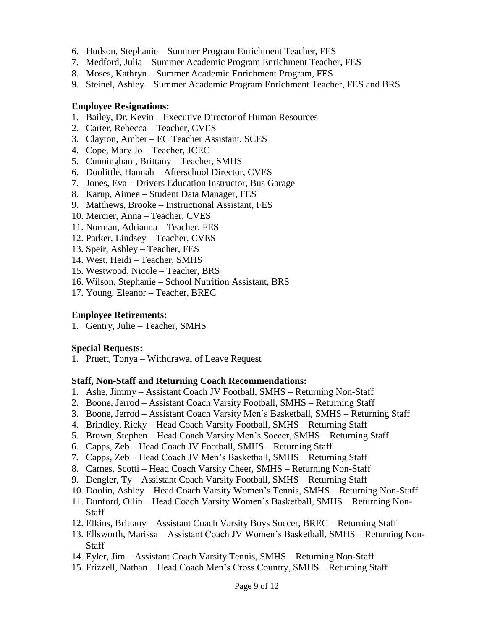- 6. Hudson, Stephanie Summer Program Enrichment Teacher, FES
- 7. Medford, Julia Summer Academic Program Enrichment Teacher, FES
- 8. Moses, Kathryn Summer Academic Enrichment Program, FES
- 9. Steinel, Ashley Summer Academic Program Enrichment Teacher, FES and BRS

#### **Employee Resignations:**

- 1. Bailey, Dr. Kevin Executive Director of Human Resources
- 2. Carter, Rebecca Teacher, CVES
- 3. Clayton, Amber EC Teacher Assistant, SCES
- 4. Cope, Mary Jo Teacher, JCEC
- 5. Cunningham, Brittany Teacher, SMHS
- 6. Doolittle, Hannah Afterschool Director, CVES
- 7. Jones, Eva Drivers Education Instructor, Bus Garage
- 8. Karup, Aimee Student Data Manager, FES
- 9. Matthews, Brooke Instructional Assistant, FES
- 10. Mercier, Anna Teacher, CVES
- 11. Norman, Adrianna Teacher, FES
- 12. Parker, Lindsey Teacher, CVES
- 13. Speir, Ashley Teacher, FES
- 14. West, Heidi Teacher, SMHS
- 15. Westwood, Nicole Teacher, BRS
- 16. Wilson, Stephanie School Nutrition Assistant, BRS
- 17. Young, Eleanor Teacher, BREC

#### **Employee Retirements:**

1. Gentry, Julie – Teacher, SMHS

## **Special Requests:**

1. Pruett, Tonya – Withdrawal of Leave Request

## **Staff, Non-Staff and Returning Coach Recommendations:**

- 1. Ashe, Jimmy Assistant Coach JV Football, SMHS Returning Non-Staff
- 2. Boone, Jerrod Assistant Coach Varsity Football, SMHS Returning Staff
- 3. Boone, Jerrod Assistant Coach Varsity Men's Basketball, SMHS Returning Staff
- 4. Brindley, Ricky Head Coach Varsity Football, SMHS Returning Staff
- 5. Brown, Stephen Head Coach Varsity Men's Soccer, SMHS Returning Staff
- 6. Capps, Zeb Head Coach JV Football, SMHS Returning Staff
- 7. Capps, Zeb Head Coach JV Men's Basketball, SMHS Returning Staff
- 8. Carnes, Scotti Head Coach Varsity Cheer, SMHS Returning Non-Staff
- 9. Dengler, Ty Assistant Coach Varsity Football, SMHS Returning Staff
- 10. Doolin, Ashley Head Coach Varsity Women's Tennis, SMHS Returning Non-Staff
- 11. Dunford, Ollin Head Coach Varsity Women's Basketball, SMHS Returning Non-**Staff**
- 12. Elkins, Brittany Assistant Coach Varsity Boys Soccer, BREC Returning Staff
- 13. Ellsworth, Marissa Assistant Coach JV Women's Basketball, SMHS Returning Non-**Staff**
- 14. Eyler, Jim Assistant Coach Varsity Tennis, SMHS Returning Non-Staff
- 15. Frizzell, Nathan Head Coach Men's Cross Country, SMHS Returning Staff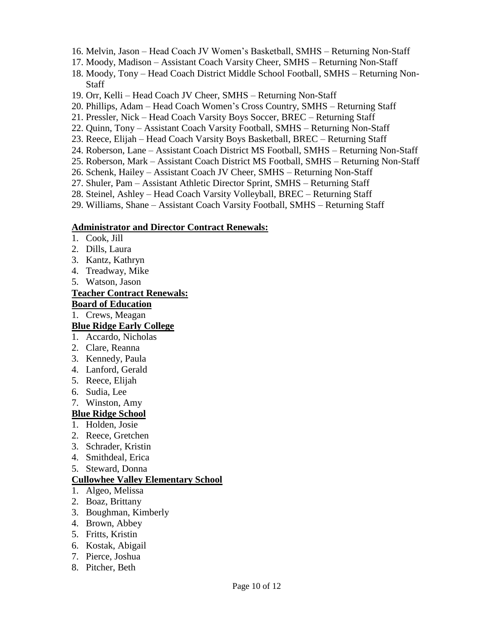- 16. Melvin, Jason Head Coach JV Women's Basketball, SMHS Returning Non-Staff
- 17. Moody, Madison Assistant Coach Varsity Cheer, SMHS Returning Non-Staff
- 18. Moody, Tony Head Coach District Middle School Football, SMHS Returning Non-Staff
- 19. Orr, Kelli Head Coach JV Cheer, SMHS Returning Non-Staff
- 20. Phillips, Adam Head Coach Women's Cross Country, SMHS Returning Staff
- 21. Pressler, Nick Head Coach Varsity Boys Soccer, BREC Returning Staff
- 22. Quinn, Tony Assistant Coach Varsity Football, SMHS Returning Non-Staff
- 23. Reece, Elijah Head Coach Varsity Boys Basketball, BREC Returning Staff
- 24. Roberson, Lane Assistant Coach District MS Football, SMHS Returning Non-Staff
- 25. Roberson, Mark Assistant Coach District MS Football, SMHS Returning Non-Staff
- 26. Schenk, Hailey Assistant Coach JV Cheer, SMHS Returning Non-Staff
- 27. Shuler, Pam Assistant Athletic Director Sprint, SMHS Returning Staff
- 28. Steinel, Ashley Head Coach Varsity Volleyball, BREC Returning Staff
- 29. Williams, Shane Assistant Coach Varsity Football, SMHS Returning Staff

#### **Administrator and Director Contract Renewals:**

- 1. Cook, Jill
- 2. Dills, Laura
- 3. Kantz, Kathryn
- 4. Treadway, Mike
- 5. Watson, Jason

#### **Teacher Contract Renewals:**

#### **Board of Education**

1. Crews, Meagan

#### **Blue Ridge Early College**

- 1. Accardo, Nicholas
- 2. Clare, Reanna
- 3. Kennedy, Paula
- 4. Lanford, Gerald
- 5. Reece, Elijah
- 6. Sudia, Lee
- 7. Winston, Amy

## **Blue Ridge School**

- 1. Holden, Josie
- 2. Reece, Gretchen
- 3. Schrader, Kristin
- 4. Smithdeal, Erica
- 5. Steward, Donna

## **Cullowhee Valley Elementary School**

- 1. Algeo, Melissa
- 2. Boaz, Brittany
- 3. Boughman, Kimberly
- 4. Brown, Abbey
- 5. Fritts, Kristin
- 6. Kostak, Abigail
- 7. Pierce, Joshua
- 8. Pitcher, Beth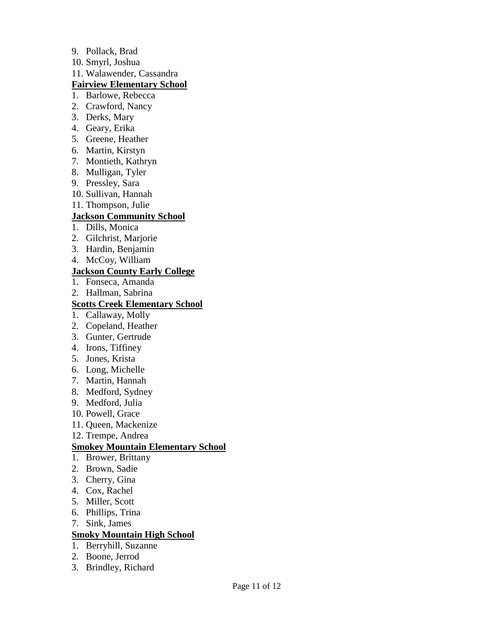- 9. Pollack, Brad
- 10. Smyrl, Joshua
- 11. Walawender, Cassandra

#### **Fairview Elementary School**

- 1. Barlowe, Rebecca
- 2. Crawford, Nancy
- 3. Derks, Mary
- 4. Geary, Erika
- 5. Greene, Heather
- 6. Martin, Kirstyn
- 7. Montieth, Kathryn
- 8. Mulligan, Tyler
- 9. Pressley, Sara
- 10. Sullivan, Hannah
- 11. Thompson, Julie

## **Jackson Community School**

- 1. Dills, Monica
- 2. Gilchrist, Marjorie
- 3. Hardin, Benjamin
- 4. McCoy, William

#### **Jackson County Early College**

- 1. Fonseca, Amanda
- 2. Hallman, Sabrina

## **Scotts Creek Elementary School**

- 1. Callaway, Molly
- 2. Copeland, Heather
- 3. Gunter, Gertrude
- 4. Irons, Tiffiney
- 5. Jones, Krista
- 6. Long, Michelle
- 7. Martin, Hannah
- 8. Medford, Sydney
- 9. Medford, Julia
- 10. Powell, Grace
- 11. Queen, Mackenize
- 12. Trempe, Andrea

## **Smokey Mountain Elementary School**

- 1. Brower, Brittany
- 2. Brown, Sadie
- 3. Cherry, Gina
- 4. Cox, Rachel
- 5. Miller, Scott
- 6. Phillips, Trina
- 7. Sink, James

## **Smoky Mountain High School**

- 1. Berryhill, Suzanne
- 2. Boone, Jerrod
- 3. Brindley, Richard